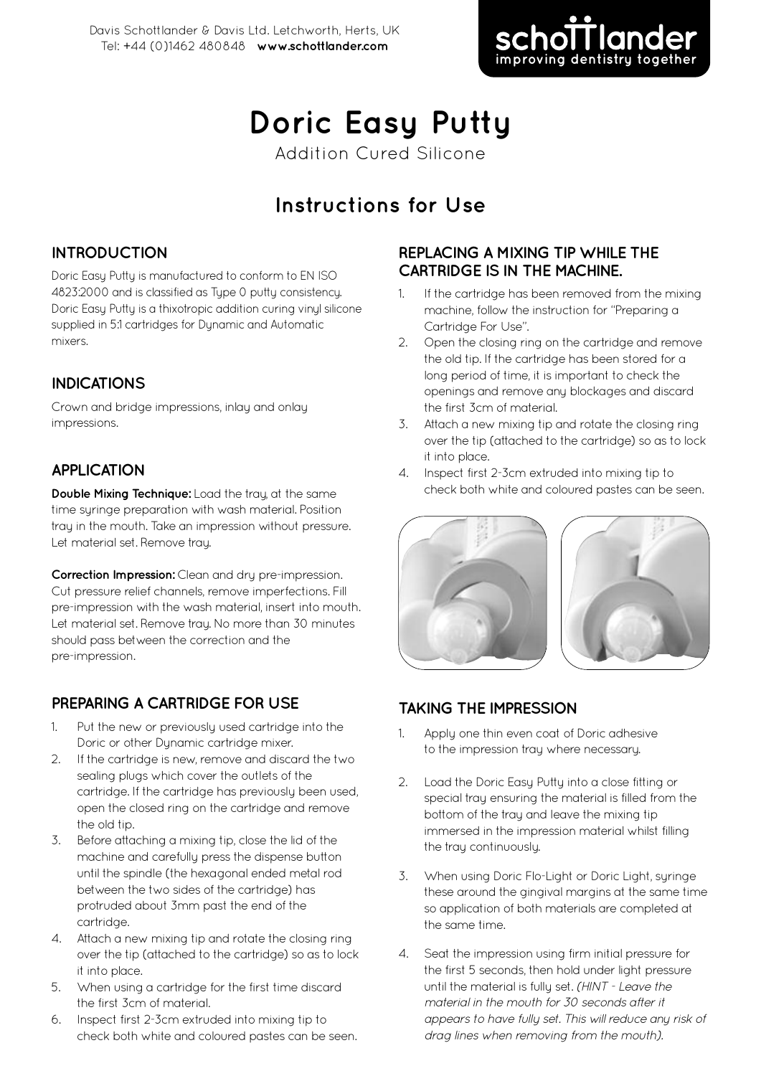

# **Doric Easy Putty**

Addition Cured Silicone

## **Instructions for Use**

#### **INTRODUCTION**

Doric Easy Putty is manufactured to conform to EN ISO 4823:2000 and is classified as Type 0 putty consistency. Doric Easy Putty is a thixotropic addition curing vinyl silicone supplied in 5:1 cartridges for Dynamic and Automatic mixers.

#### **INDICATIONS**

Crown and bridge impressions, inlay and onlay impressions.

#### **APPLICATION**

**Double Mixing Technique:** Load the tray, at the same time suringe preparation with wash material. Position tray in the mouth. Take an impression without pressure. Let material set. Remove tray.

**Correction Impression:** Clean and dry pre-impression. Cut pressure relief channels, remove imperfections. Fill pre-impression with the wash material, insert into mouth. Let material set. Remove tray. No more than 30 minutes should pass between the correction and the pre-impression.

#### **PREPARING A CARTRIDGE FOR USE**

- 1. Put the new or previously used cartridge into the Doric or other Dynamic cartridge mixer.
- 2. If the cartridge is new, remove and discard the two sealing plugs which cover the outlets of the cartridge. If the cartridge has previously been used, open the closed ring on the cartridge and remove the old tip.
- 3. Before attaching a mixing tip, close the lid of the machine and carefully press the dispense button until the spindle (the hexagonal ended metal rod between the two sides of the cartridge) has protruded about 3mm past the end of the cartridge.
- 4. Attach a new mixing tip and rotate the closing ring over the tip (attached to the cartridge) so as to lock it into place.
- 5. When using a cartridge for the first time discard the first 3cm of material.
- 6. Inspect first 2-3cm extruded into mixing tip to check both white and coloured pastes can be seen.

#### **REPLACING A MIXING TIP WHILE THE CARTRIDGE IS IN THE MACHINE.**

- 1. If the cartridge has been removed from the mixing machine, follow the instruction for "Preparing a Cartridge For Use".
- 2. Open the closing ring on the cartridge and remove the old tip. If the cartridge has been stored for a long period of time, it is important to check the openings and remove any blockages and discard the first 3cm of material.
- 3. Attach a new mixing tip and rotate the closing ring over the tip (attached to the cartridge) so as to lock it into place.
- 4. Inspect first 2-3cm extruded into mixing tip to check both white and coloured pastes can be seen.



#### **TAKING THE IMPRESSION**

- 1. Apply one thin even coat of Doric adhesive to the impression tray where necessary.
- 2. Load the Doric Easy Putty into a close fitting or special tray ensuring the material is filled from the bottom of the tray and leave the mixing tip immersed in the impression material whilst filling the tray continuously.
- 3. When using Doric Flo-Light or Doric Light, syringe these around the gingival margins at the same time so application of both materials are completed at the same time.
- 4. Seat the impression using firm initial pressure for the first 5 seconds, then hold under light pressure until the material is fully set. (HINT - Leave the material in the mouth for 30 seconds after it appears to have fully set. This will reduce any risk of drag lines when removing from the mouth).